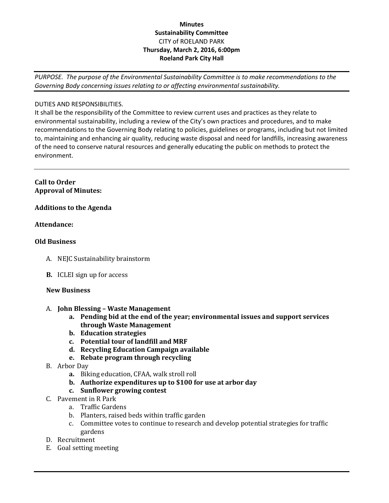### **Minutes Sustainability Committee** CITY of ROELAND PARK **Thursday, March 2, 2016, 6:00pm Roeland Park City Hall**

*PURPOSE. The purpose of the Environmental Sustainability Committee is to make recommendations to the Governing Body concerning issues relating to or affecting environmental sustainability.*

#### DUTIES AND RESPONSIBILITIES.

It shall be the responsibility of the Committee to review current uses and practices as they relate to environmental sustainability, including a review of the City's own practices and procedures, and to make recommendations to the Governing Body relating to policies, guidelines or programs, including but not limited to, maintaining and enhancing air quality, reducing waste disposal and need for landfills, increasing awareness of the need to conserve natural resources and generally educating the public on methods to protect the environment.

#### **Call to Order Approval of Minutes:**

## **Additions to the Agenda**

#### **Attendance:**

#### **Old Business**

- A. NEJC Sustainability brainstorm
- **B.** ICLEI sign up for access

#### **New Business**

- A. **John Blessing – Waste Management** 
	- **a. Pending bid at the end of the year; environmental issues and support services through Waste Management**
	- **b. Education strategies**
	- **c. Potential tour of landfill and MRF**
	- **d. Recycling Education Campaign available**
	- **e. Rebate program through recycling**
- B. Arbor Day
	- **a.** Biking education, CFAA, walk stroll roll
	- **b. Authorize expenditures up to \$100 for use at arbor day**
	- **c. Sunflower growing contest**
- C. Pavement in R Park
	- a. Traffic Gardens
	- b. Planters, raised beds within traffic garden
	- c. Committee votes to continue to research and develop potential strategies for traffic gardens
- D. Recruitment
- E. Goal setting meeting